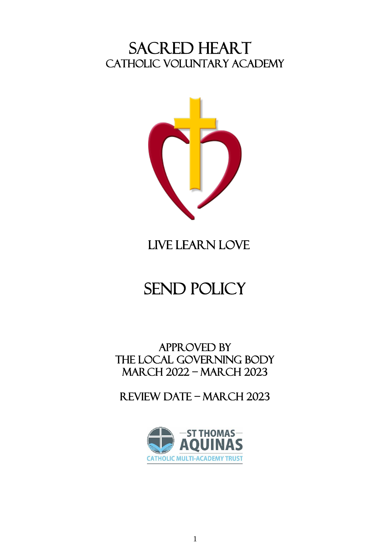# SACRED HEART CATHOLIC VOLUNTARY ACADEMY



# LIVE LEARN LOVE

# send policy

APPROVED BY THE local GOVERNING BODY march 2022 – march 2023

Review date – March 2023

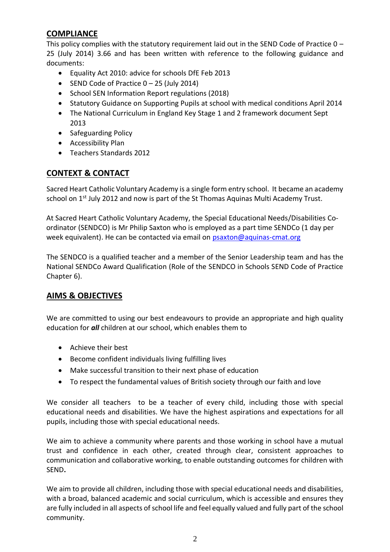## **COMPLIANCE**

This policy complies with the statutory requirement laid out in the SEND Code of Practice 0 – 25 (July 2014) 3.66 and has been written with reference to the following guidance and documents:

- Equality Act 2010: advice for schools DfE Feb 2013
- SEND Code of Practice 0 25 (July 2014)
- School SEN Information Report regulations (2018)
- Statutory Guidance on Supporting Pupils at school with medical conditions April 2014
- The National Curriculum in England Key Stage 1 and 2 framework document Sept 2013
- Safeguarding Policy
- Accessibility Plan
- Teachers Standards 2012

#### **CONTEXT & CONTACT**

Sacred Heart Catholic Voluntary Academy is a single form entry school. It became an academy school on  $1<sup>st</sup>$  July 2012 and now is part of the St Thomas Aquinas Multi Academy Trust.

At Sacred Heart Catholic Voluntary Academy, the Special Educational Needs/Disabilities Coordinator (SENDCO) is Mr Philip Saxton who is employed as a part time SENDCo (1 day per week equivalent). He can be contacted via email on [psaxton@aquinas-cmat.org](mailto:psaxton@aquinas-cmat.org)

The SENDCO is a qualified teacher and a member of the Senior Leadership team and has the National SENDCo Award Qualification (Role of the SENDCO in Schools SEND Code of Practice Chapter 6).

#### **AIMS & OBJECTIVES**

We are committed to using our best endeavours to provide an appropriate and high quality education for *all* children at our school, which enables them to

- Achieve their best
- Become confident individuals living fulfilling lives
- Make successful transition to their next phase of education
- To respect the fundamental values of British society through our faith and love

We consider all teachers to be a teacher of every child, including those with special educational needs and disabilities. We have the highest aspirations and expectations for all pupils, including those with special educational needs.

We aim to achieve a community where parents and those working in school have a mutual trust and confidence in each other, created through clear, consistent approaches to communication and collaborative working, to enable outstanding outcomes for children with SEND**.**

We aim to provide all children, including those with special educational needs and disabilities, with a broad, balanced academic and social curriculum, which is accessible and ensures they are fully included in all aspects of school life and feel equally valued and fully part of the school community.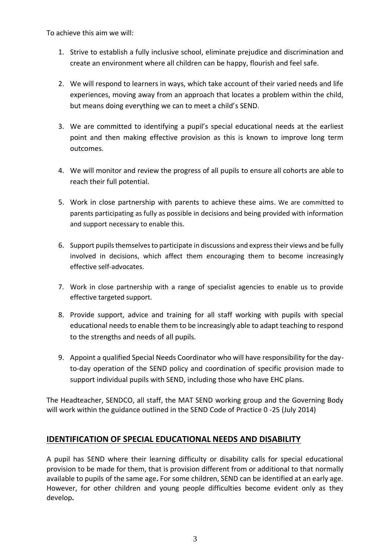To achieve this aim we will:

- 1. Strive to establish a fully inclusive school, eliminate prejudice and discrimination and create an environment where all children can be happy, flourish and feel safe.
- 2. We will respond to learners in ways, which take account of their varied needs and life experiences, moving away from an approach that locates a problem within the child, but means doing everything we can to meet a child's SEND.
- 3. We are committed to identifying a pupil's special educational needs at the earliest point and then making effective provision as this is known to improve long term outcomes.
- 4. We will monitor and review the progress of all pupils to ensure all cohorts are able to reach their full potential.
- 5. Work in close partnership with parents to achieve these aims. We are committed to parents participating as fully as possible in decisions and being provided with information and support necessary to enable this.
- 6. Support pupils themselves to participate in discussions and express their views and be fully involved in decisions, which affect them encouraging them to become increasingly effective self-advocates.
- 7. Work in close partnership with a range of specialist agencies to enable us to provide effective targeted support.
- 8. Provide support, advice and training for all staff working with pupils with special educational needs to enable them to be increasingly able to adapt teaching to respond to the strengths and needs of all pupils.
- 9. Appoint a qualified Special Needs Coordinator who will have responsibility for the dayto-day operation of the SEND policy and coordination of specific provision made to support individual pupils with SEND, including those who have EHC plans.

The Headteacher, SENDCO, all staff, the MAT SEND working group and the Governing Body will work within the guidance outlined in the SEND Code of Practice 0 -25 (July 2014)

#### **IDENTIFICATION OF SPECIAL EDUCATIONAL NEEDS AND DISABILITY**

A pupil has SEND where their learning difficulty or disability calls for special educational provision to be made for them, that is provision different from or additional to that normally available to pupils of the same age**.** For some children, SEND can be identified at an early age. However, for other children and young people difficulties become evident only as they develop**.**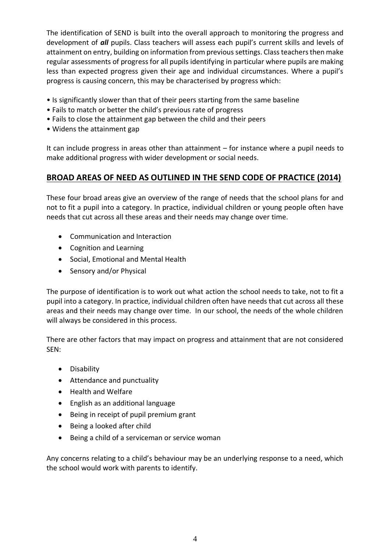The identification of SEND is built into the overall approach to monitoring the progress and development of *all* pupils. Class teachers will assess each pupil's current skills and levels of attainment on entry, building on information from previous settings. Class teachers then make regular assessments of progress for all pupils identifying in particular where pupils are making less than expected progress given their age and individual circumstances. Where a pupil's progress is causing concern, this may be characterised by progress which:

- Is significantly slower than that of their peers starting from the same baseline
- Fails to match or better the child's previous rate of progress
- Fails to close the attainment gap between the child and their peers
- Widens the attainment gap

It can include progress in areas other than attainment – for instance where a pupil needs to make additional progress with wider development or social needs.

#### **BROAD AREAS OF NEED AS OUTLINED IN THE SEND CODE OF PRACTICE (2014)**

These four broad areas give an overview of the range of needs that the school plans for and not to fit a pupil into a category. In practice, individual children or young people often have needs that cut across all these areas and their needs may change over time.

- Communication and Interaction
- Cognition and Learning
- Social, Emotional and Mental Health
- Sensory and/or Physical

The purpose of identification is to work out what action the school needs to take, not to fit a pupil into a category. In practice, individual children often have needs that cut across all these areas and their needs may change over time. In our school, the needs of the whole children will always be considered in this process.

There are other factors that may impact on progress and attainment that are not considered SEN:

- Disability
- Attendance and punctuality
- Health and Welfare
- English as an additional language
- Being in receipt of pupil premium grant
- Being a looked after child
- Being a child of a serviceman or service woman

Any concerns relating to a child's behaviour may be an underlying response to a need, which the school would work with parents to identify.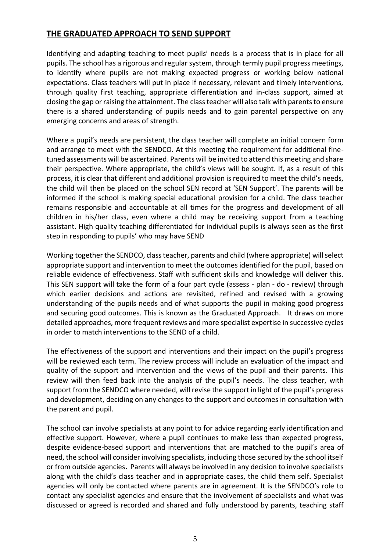#### **THE GRADUATED APPROACH TO SEND SUPPORT**

Identifying and adapting teaching to meet pupils' needs is a process that is in place for all pupils. The school has a rigorous and regular system, through termly pupil progress meetings, to identify where pupils are not making expected progress or working below national expectations. Class teachers will put in place if necessary, relevant and timely interventions, through quality first teaching, appropriate differentiation and in-class support, aimed at closing the gap or raising the attainment. The class teacher will also talk with parents to ensure there is a shared understanding of pupils needs and to gain parental perspective on any emerging concerns and areas of strength.

Where a pupil's needs are persistent, the class teacher will complete an initial concern form and arrange to meet with the SENDCO. At this meeting the requirement for additional finetuned assessments will be ascertained. Parents will be invited to attend this meeting and share their perspective. Where appropriate, the child's views will be sought. If, as a result of this process, it is clear that different and additional provision is required to meet the child's needs, the child will then be placed on the school SEN record at 'SEN Support'. The parents will be informed if the school is making special educational provision for a child. The class teacher remains responsible and accountable at all times for the progress and development of all children in his/her class, even where a child may be receiving support from a teaching assistant. High quality teaching differentiated for individual pupils is always seen as the first step in responding to pupils' who may have SEND

Working together the SENDCO, class teacher, parents and child (where appropriate) will select appropriate support and intervention to meet the outcomes identified for the pupil, based on reliable evidence of effectiveness. Staff with sufficient skills and knowledge will deliver this. This SEN support will take the form of a four part cycle (assess - plan - do - review) through which earlier decisions and actions are revisited, refined and revised with a growing understanding of the pupils needs and of what supports the pupil in making good progress and securing good outcomes. This is known as the Graduated Approach. It draws on more detailed approaches, more frequent reviews and more specialist expertise in successive cycles in order to match interventions to the SEND of a child.

The effectiveness of the support and interventions and their impact on the pupil's progress will be reviewed each term. The review process will include an evaluation of the impact and quality of the support and intervention and the views of the pupil and their parents. This review will then feed back into the analysis of the pupil's needs. The class teacher, with support from the SENDCO where needed, will revise the support in light of the pupil's progress and development, deciding on any changes to the support and outcomes in consultation with the parent and pupil.

The school can involve specialists at any point to for advice regarding early identification and effective support. However, where a pupil continues to make less than expected progress, despite evidence-based support and interventions that are matched to the pupil's area of need, the school will consider involving specialists, including those secured by the school itself or from outside agencies**.** Parents will always be involved in any decision to involve specialists along with the child's class teacher and in appropriate cases, the child them self**.** Specialist agencies will only be contacted where parents are in agreement. It is the SENDCO's role to contact any specialist agencies and ensure that the involvement of specialists and what was discussed or agreed is recorded and shared and fully understood by parents, teaching staff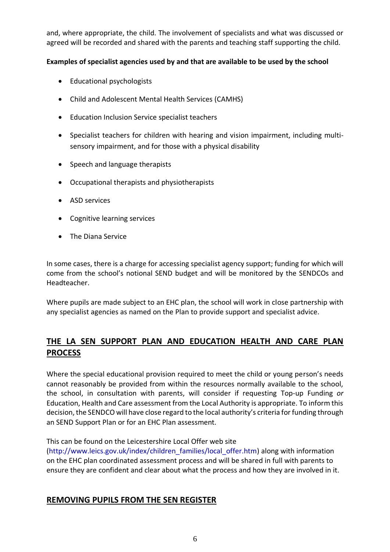and, where appropriate, the child. The involvement of specialists and what was discussed or agreed will be recorded and shared with the parents and teaching staff supporting the child.

#### **Examples of specialist agencies used by and that are available to be used by the school**

- Educational psychologists
- Child and Adolescent Mental Health Services (CAMHS)
- Education Inclusion Service specialist teachers
- Specialist teachers for children with hearing and vision impairment, including multisensory impairment, and for those with a physical disability
- Speech and language therapists
- Occupational therapists and physiotherapists
- ASD services
- Cognitive learning services
- The Diana Service

In some cases, there is a charge for accessing specialist agency support; funding for which will come from the school's notional SEND budget and will be monitored by the SENDCOs and Headteacher.

Where pupils are made subject to an EHC plan, the school will work in close partnership with any specialist agencies as named on the Plan to provide support and specialist advice.

## **THE LA SEN SUPPORT PLAN AND EDUCATION HEALTH AND CARE PLAN PROCESS**

Where the special educational provision required to meet the child or young person's needs cannot reasonably be provided from within the resources normally available to the school, the school, in consultation with parents, will consider if requesting Top-up Funding *or* Education, Health and Care assessment from the Local Authority is appropriate. To inform this decision, the SENDCO will have close regard to the local authority's criteria for funding through an SEND Support Plan or for an EHC Plan assessment.

This can be found on the Leicestershire Local Offer web site

[\(http://www.leics.gov.uk/index/children\\_families/local\\_offer.htm\)](http://www.leics.gov.uk/index/children_families/local_offer.htm) along with information on the EHC plan coordinated assessment process and will be shared in full with parents to ensure they are confident and clear about what the process and how they are involved in it.

#### **REMOVING PUPILS FROM THE SEN REGISTER**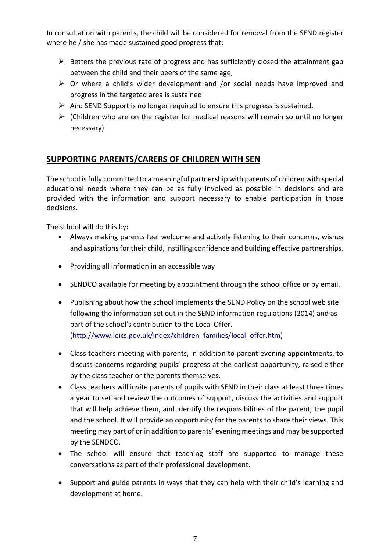In consultation with parents, the child will be considered for removal from the SEND register where he / she has made sustained good progress that:

- $\triangleright$  Betters the previous rate of progress and has sufficiently closed the attainment gap between the child and their peers of the same age,
- $\triangleright$  Or where a child's wider development and /or social needs have improved and progress in the targeted area is sustained
- $\triangleright$  And SEND Support is no longer required to ensure this progress is sustained.
- $\triangleright$  (Children who are on the register for medical reasons will remain so until no longer necessary)

## **SUPPORTING PARENTS/CARERS OF CHILDREN WITH SEN**

The school is fully committed to a meaningful partnership with parents of children with special educational needs where they can be as fully involved as possible in decisions and are provided with the information and support necessary to enable participation in those decisions.

The school will do this by**:**

- Always making parents feel welcome and actively listening to their concerns, wishes and aspirations for their child, instilling confidence and building effective partnerships.
- Providing all information in an accessible way
- SENDCO available for meeting by appointment through the school office or by email.
- Publishing about how the school implements the SEND Policy on the school web site following the information set out in the SEND information regulations (2014) and as part of the school's contribution to the Local Offer. [\(http://www.leics.gov.uk/index/children\\_families/local\\_offer.htm\)](http://www.leics.gov.uk/index/children_families/local_offer.htm)
- Class teachers meeting with parents, in addition to parent evening appointments, to discuss concerns regarding pupils' progress at the earliest opportunity, raised either by the class teacher or the parents themselves.
- Class teachers will invite parents of pupils with SEND in their class at least three times a year to set and review the outcomes of support, discuss the activities and support that will help achieve them, and identify the responsibilities of the parent, the pupil and the school. It will provide an opportunity for the parents to share their views. This meeting may part of or in addition to parents' evening meetings and may be supported by the SENDCO.
- The school will ensure that teaching staff are supported to manage these conversations as part of their professional development.
- Support and guide parents in ways that they can help with their child's learning and development at home.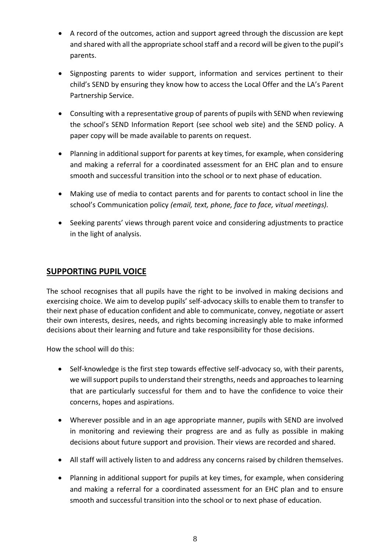- A record of the outcomes, action and support agreed through the discussion are kept and shared with all the appropriate school staff and a record will be given to the pupil's parents.
- Signposting parents to wider support, information and services pertinent to their child's SEND by ensuring they know how to access the Local Offer and the LA's Parent Partnership Service.
- Consulting with a representative group of parents of pupils with SEND when reviewing the school's SEND Information Report (see school web site) and the SEND policy. A paper copy will be made available to parents on request.
- Planning in additional support for parents at key times, for example, when considering and making a referral for a coordinated assessment for an EHC plan and to ensure smooth and successful transition into the school or to next phase of education.
- Making use of media to contact parents and for parents to contact school in line the school's Communication policy *(email, text, phone, face to face, vitual meetings).*
- Seeking parents' views through parent voice and considering adjustments to practice in the light of analysis.

#### **SUPPORTING PUPIL VOICE**

The school recognises that all pupils have the right to be involved in making decisions and exercising choice. We aim to develop pupils' self-advocacy skills to enable them to transfer to their next phase of education confident and able to communicate, convey, negotiate or assert their own interests, desires, needs, and rights becoming increasingly able to make informed decisions about their learning and future and take responsibility for those decisions.

How the school will do this:

- Self-knowledge is the first step towards effective self-advocacy so, with their parents, we will support pupils to understand their strengths, needs and approaches to learning that are particularly successful for them and to have the confidence to voice their concerns, hopes and aspirations.
- Wherever possible and in an age appropriate manner, pupils with SEND are involved in monitoring and reviewing their progress are and as fully as possible in making decisions about future support and provision. Their views are recorded and shared.
- All staff will actively listen to and address any concerns raised by children themselves.
- Planning in additional support for pupils at key times, for example, when considering and making a referral for a coordinated assessment for an EHC plan and to ensure smooth and successful transition into the school or to next phase of education.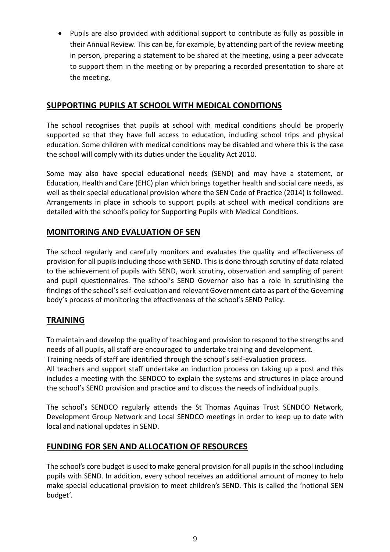• Pupils are also provided with additional support to contribute as fully as possible in their Annual Review. This can be, for example, by attending part of the review meeting in person, preparing a statement to be shared at the meeting, using a peer advocate to support them in the meeting or by preparing a recorded presentation to share at the meeting.

#### **SUPPORTING PUPILS AT SCHOOL WITH MEDICAL CONDITIONS**

The school recognises that pupils at school with medical conditions should be properly supported so that they have full access to education, including school trips and physical education. Some children with medical conditions may be disabled and where this is the case the school will comply with its duties under the Equality Act 2010.

Some may also have special educational needs (SEND) and may have a statement, or Education, Health and Care (EHC) plan which brings together health and social care needs, as well as their special educational provision where the SEN Code of Practice (2014) is followed. Arrangements in place in schools to support pupils at school with medical conditions are detailed with the school's policy for Supporting Pupils with Medical Conditions.

#### **MONITORING AND EVALUATION OF SEN**

The school regularly and carefully monitors and evaluates the quality and effectiveness of provision for all pupils including those with SEND. This is done through scrutiny of data related to the achievement of pupils with SEND, work scrutiny, observation and sampling of parent and pupil questionnaires. The school's SEND Governor also has a role in scrutinising the findings of the school's self-evaluation and relevant Government data as part of the Governing body's process of monitoring the effectiveness of the school's SEND Policy.

#### **TRAINING**

To maintain and develop the quality of teaching and provision to respond to the strengths and needs of all pupils, all staff are encouraged to undertake training and development.

Training needs of staff are identified through the school's self-evaluation process.

All teachers and support staff undertake an induction process on taking up a post and this includes a meeting with the SENDCO to explain the systems and structures in place around the school's SEND provision and practice and to discuss the needs of individual pupils.

The school's SENDCO regularly attends the St Thomas Aquinas Trust SENDCO Network, Development Group Network and Local SENDCO meetings in order to keep up to date with local and national updates in SEND.

#### **FUNDING FOR SEN AND ALLOCATION OF RESOURCES**

The school's core budget is used to make general provision for all pupils in the school including pupils with SEND. In addition, every school receives an additional amount of money to help make special educational provision to meet children's SEND. This is called the 'notional SEN budget'.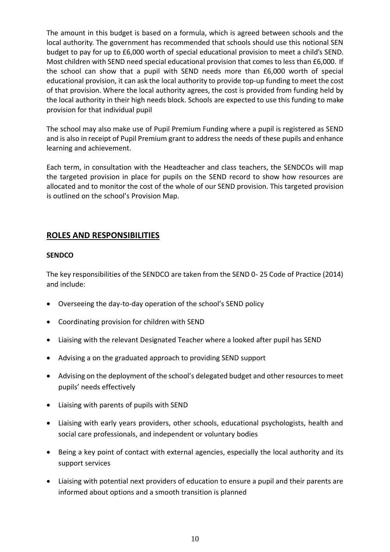The amount in this budget is based on a formula, which is agreed between schools and the local authority. The government has recommended that schools should use this notional SEN budget to pay for up to £6,000 worth of special educational provision to meet a child's SEND. Most children with SEND need special educational provision that comes to less than £6,000. If the school can show that a pupil with SEND needs more than £6,000 worth of special educational provision, it can ask the local authority to provide top-up funding to meet the cost of that provision. Where the local authority agrees, the cost is provided from funding held by the local authority in their high needs block. Schools are expected to use this funding to make provision for that individual pupil

The school may also make use of Pupil Premium Funding where a pupil is registered as SEND and is also in receipt of Pupil Premium grant to address the needs of these pupils and enhance learning and achievement.

Each term, in consultation with the Headteacher and class teachers, the SENDCOs will map the targeted provision in place for pupils on the SEND record to show how resources are allocated and to monitor the cost of the whole of our SEND provision. This targeted provision is outlined on the school's Provision Map.

#### **ROLES AND RESPONSIBILITIES**

#### **SENDCO**

The key responsibilities of the SENDCO are taken from the SEND 0- 25 Code of Practice (2014) and include:

- Overseeing the day-to-day operation of the school's SEND policy
- Coordinating provision for children with SEND
- Liaising with the relevant Designated Teacher where a looked after pupil has SEND
- Advising a on the graduated approach to providing SEND support
- Advising on the deployment of the school's delegated budget and other resources to meet pupils' needs effectively
- Liaising with parents of pupils with SEND
- Liaising with early years providers, other schools, educational psychologists, health and social care professionals, and independent or voluntary bodies
- Being a key point of contact with external agencies, especially the local authority and its support services
- Liaising with potential next providers of education to ensure a pupil and their parents are informed about options and a smooth transition is planned